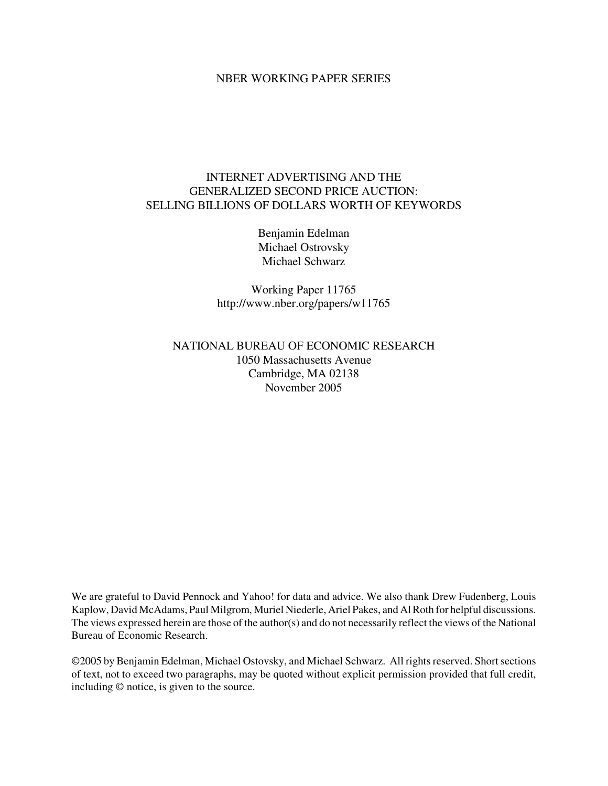### NBER WORKING PAPER SERIES

# INTERNET ADVERTISING AND THE GENERALIZED SECOND PRICE AUCTION: SELLING BILLIONS OF DOLLARS WORTH OF KEYWORDS

Benjamin Edelman Michael Ostrovsky Michael Schwarz

Working Paper 11765 http://www.nber.org/papers/w11765

NATIONAL BUREAU OF ECONOMIC RESEARCH 1050 Massachusetts Avenue Cambridge, MA 02138 November 2005

We are grateful to David Pennock and Yahoo! for data and advice. We also thank Drew Fudenberg, Louis Kaplow, David McAdams, Paul Milgrom, Muriel Niederle, Ariel Pakes, and AlRoth for helpful discussions. The views expressed herein are those of the author(s) and do not necessarily reflect the views of the National Bureau of Economic Research.

©2005 by Benjamin Edelman, Michael Ostovsky, and Michael Schwarz. All rights reserved. Short sections of text, not to exceed two paragraphs, may be quoted without explicit permission provided that full credit, including © notice, is given to the source.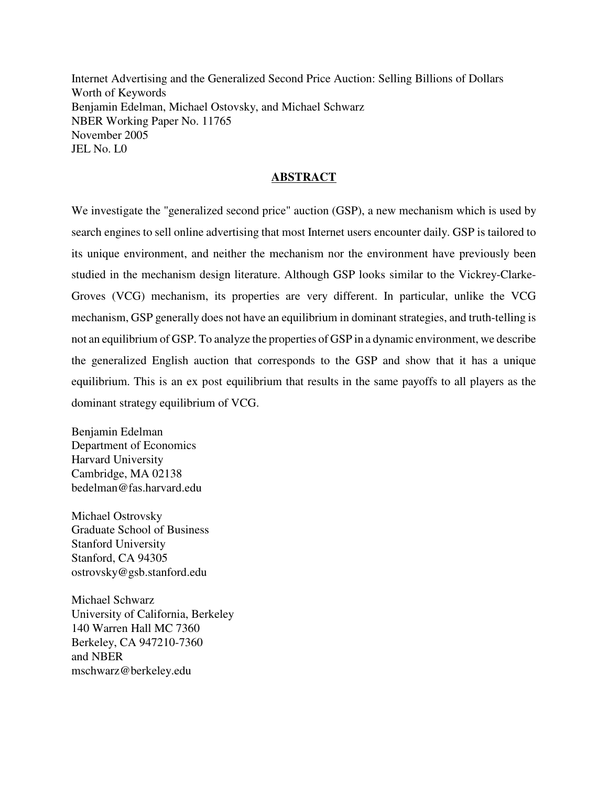Internet Advertising and the Generalized Second Price Auction: Selling Billions of Dollars Worth of Keywords Benjamin Edelman, Michael Ostovsky, and Michael Schwarz NBER Working Paper No. 11765 November 2005 JEL No. L0

### **ABSTRACT**

We investigate the "generalized second price" auction (GSP), a new mechanism which is used by search engines to sell online advertising that most Internet users encounter daily. GSP is tailored to its unique environment, and neither the mechanism nor the environment have previously been studied in the mechanism design literature. Although GSP looks similar to the Vickrey-Clarke-Groves (VCG) mechanism, its properties are very different. In particular, unlike the VCG mechanism, GSP generally does not have an equilibrium in dominant strategies, and truth-telling is not an equilibrium of GSP. To analyze the properties of GSP in a dynamic environment, we describe the generalized English auction that corresponds to the GSP and show that it has a unique equilibrium. This is an ex post equilibrium that results in the same payoffs to all players as the dominant strategy equilibrium of VCG.

Benjamin Edelman Department of Economics Harvard University Cambridge, MA 02138 bedelman@fas.harvard.edu

Michael Ostrovsky Graduate School of Business Stanford University Stanford, CA 94305 ostrovsky@gsb.stanford.edu

Michael Schwarz University of California, Berkeley 140 Warren Hall MC 7360 Berkeley, CA 947210-7360 and NBER mschwarz@berkeley.edu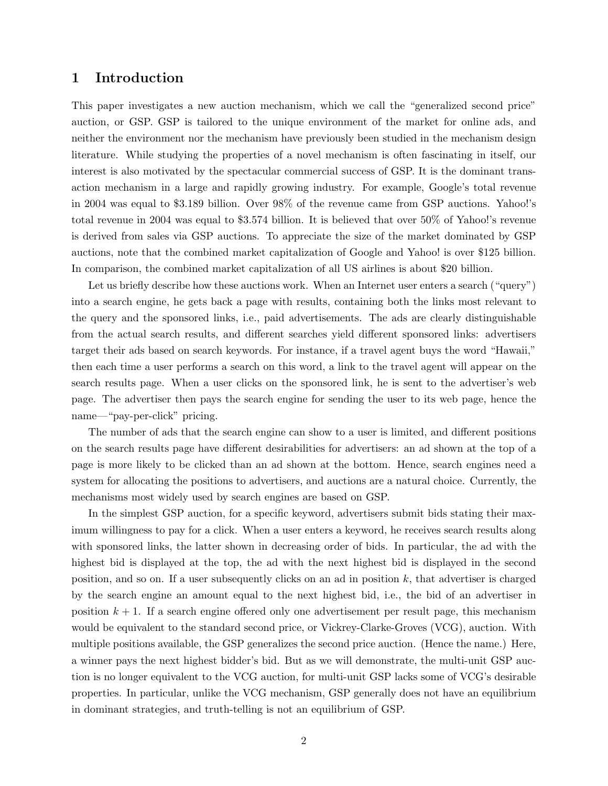## 1 Introduction

This paper investigates a new auction mechanism, which we call the "generalized second price" auction, or GSP. GSP is tailored to the unique environment of the market for online ads, and neither the environment nor the mechanism have previously been studied in the mechanism design literature. While studying the properties of a novel mechanism is often fascinating in itself, our interest is also motivated by the spectacular commercial success of GSP. It is the dominant transaction mechanism in a large and rapidly growing industry. For example, Google's total revenue in 2004 was equal to \$3.189 billion. Over 98% of the revenue came from GSP auctions. Yahoo!'s total revenue in 2004 was equal to \$3.574 billion. It is believed that over 50% of Yahoo!'s revenue is derived from sales via GSP auctions. To appreciate the size of the market dominated by GSP auctions, note that the combined market capitalization of Google and Yahoo! is over \$125 billion. In comparison, the combined market capitalization of all US airlines is about \$20 billion.

Let us briefly describe how these auctions work. When an Internet user enters a search ("query") into a search engine, he gets back a page with results, containing both the links most relevant to the query and the sponsored links, i.e., paid advertisements. The ads are clearly distinguishable from the actual search results, and different searches yield different sponsored links: advertisers target their ads based on search keywords. For instance, if a travel agent buys the word "Hawaii," then each time a user performs a search on this word, a link to the travel agent will appear on the search results page. When a user clicks on the sponsored link, he is sent to the advertiser's web page. The advertiser then pays the search engine for sending the user to its web page, hence the name—"pay-per-click" pricing.

The number of ads that the search engine can show to a user is limited, and different positions on the search results page have different desirabilities for advertisers: an ad shown at the top of a page is more likely to be clicked than an ad shown at the bottom. Hence, search engines need a system for allocating the positions to advertisers, and auctions are a natural choice. Currently, the mechanisms most widely used by search engines are based on GSP.

In the simplest GSP auction, for a specific keyword, advertisers submit bids stating their maximum willingness to pay for a click. When a user enters a keyword, he receives search results along with sponsored links, the latter shown in decreasing order of bids. In particular, the ad with the highest bid is displayed at the top, the ad with the next highest bid is displayed in the second position, and so on. If a user subsequently clicks on an ad in position  $k$ , that advertiser is charged by the search engine an amount equal to the next highest bid, i.e., the bid of an advertiser in position  $k + 1$ . If a search engine offered only one advertisement per result page, this mechanism would be equivalent to the standard second price, or Vickrey-Clarke-Groves (VCG), auction. With multiple positions available, the GSP generalizes the second price auction. (Hence the name.) Here, a winner pays the next highest bidder's bid. But as we will demonstrate, the multi-unit GSP auction is no longer equivalent to the VCG auction, for multi-unit GSP lacks some of VCG's desirable properties. In particular, unlike the VCG mechanism, GSP generally does not have an equilibrium in dominant strategies, and truth-telling is not an equilibrium of GSP.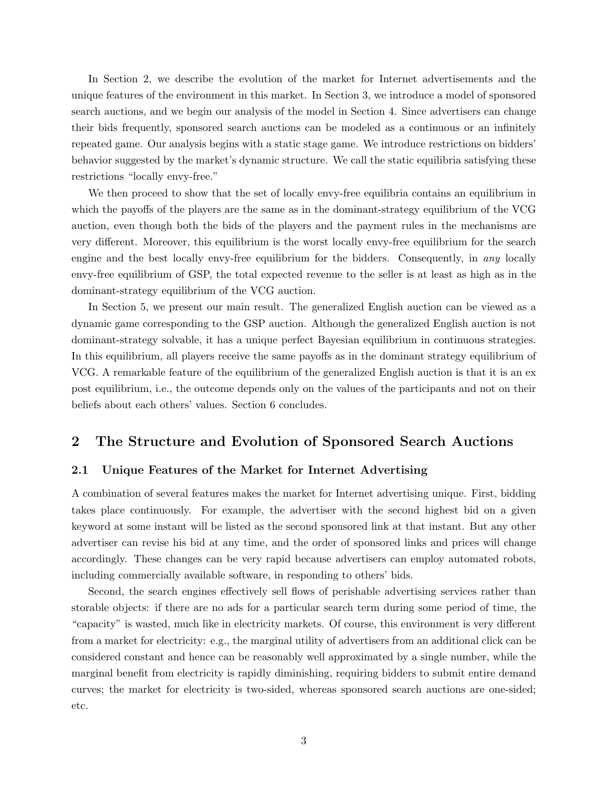In Section 2, we describe the evolution of the market for Internet advertisements and the unique features of the environment in this market. In Section 3, we introduce a model of sponsored search auctions, and we begin our analysis of the model in Section 4. Since advertisers can change their bids frequently, sponsored search auctions can be modeled as a continuous or an infinitely repeated game. Our analysis begins with a static stage game. We introduce restrictions on bidders' behavior suggested by the market's dynamic structure. We call the static equilibria satisfying these restrictions "locally envy-free."

We then proceed to show that the set of locally envy-free equilibria contains an equilibrium in which the payoffs of the players are the same as in the dominant-strategy equilibrium of the VCG auction, even though both the bids of the players and the payment rules in the mechanisms are very different. Moreover, this equilibrium is the worst locally envy-free equilibrium for the search engine and the best locally envy-free equilibrium for the bidders. Consequently, in any locally envy-free equilibrium of GSP, the total expected revenue to the seller is at least as high as in the dominant-strategy equilibrium of the VCG auction.

In Section 5, we present our main result. The generalized English auction can be viewed as a dynamic game corresponding to the GSP auction. Although the generalized English auction is not dominant-strategy solvable, it has a unique perfect Bayesian equilibrium in continuous strategies. In this equilibrium, all players receive the same payoffs as in the dominant strategy equilibrium of VCG. A remarkable feature of the equilibrium of the generalized English auction is that it is an ex post equilibrium, i.e., the outcome depends only on the values of the participants and not on their beliefs about each others' values. Section 6 concludes.

## 2 The Structure and Evolution of Sponsored Search Auctions

### 2.1 Unique Features of the Market for Internet Advertising

A combination of several features makes the market for Internet advertising unique. First, bidding takes place continuously. For example, the advertiser with the second highest bid on a given keyword at some instant will be listed as the second sponsored link at that instant. But any other advertiser can revise his bid at any time, and the order of sponsored links and prices will change accordingly. These changes can be very rapid because advertisers can employ automated robots, including commercially available software, in responding to others' bids.

Second, the search engines effectively sell flows of perishable advertising services rather than storable objects: if there are no ads for a particular search term during some period of time, the "capacity" is wasted, much like in electricity markets. Of course, this environment is very different from a market for electricity: e.g., the marginal utility of advertisers from an additional click can be considered constant and hence can be reasonably well approximated by a single number, while the marginal benefit from electricity is rapidly diminishing, requiring bidders to submit entire demand curves; the market for electricity is two-sided, whereas sponsored search auctions are one-sided; etc.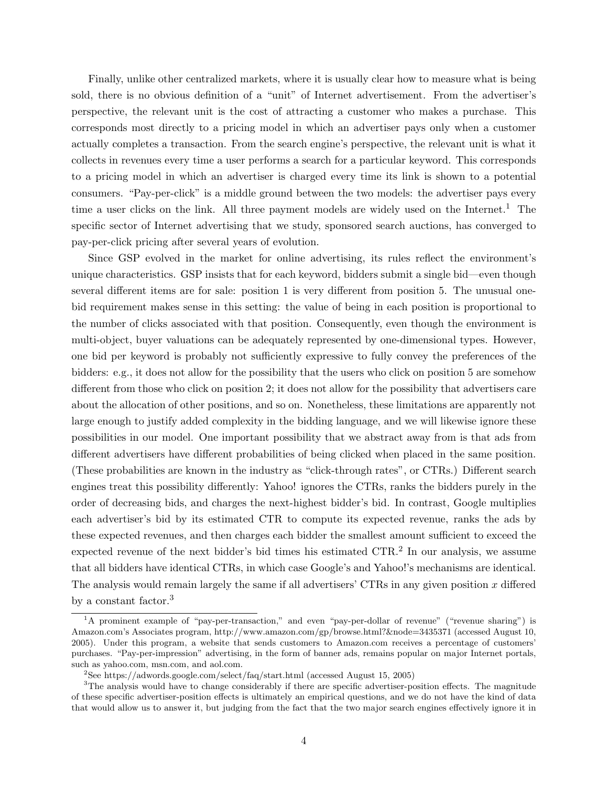Finally, unlike other centralized markets, where it is usually clear how to measure what is being sold, there is no obvious definition of a "unit" of Internet advertisement. From the advertiser's perspective, the relevant unit is the cost of attracting a customer who makes a purchase. This corresponds most directly to a pricing model in which an advertiser pays only when a customer actually completes a transaction. From the search engine's perspective, the relevant unit is what it collects in revenues every time a user performs a search for a particular keyword. This corresponds to a pricing model in which an advertiser is charged every time its link is shown to a potential consumers. "Pay-per-click" is a middle ground between the two models: the advertiser pays every time a user clicks on the link. All three payment models are widely used on the Internet.<sup>1</sup> The specific sector of Internet advertising that we study, sponsored search auctions, has converged to pay-per-click pricing after several years of evolution.

Since GSP evolved in the market for online advertising, its rules reflect the environment's unique characteristics. GSP insists that for each keyword, bidders submit a single bid—even though several different items are for sale: position 1 is very different from position 5. The unusual onebid requirement makes sense in this setting: the value of being in each position is proportional to the number of clicks associated with that position. Consequently, even though the environment is multi-object, buyer valuations can be adequately represented by one-dimensional types. However, one bid per keyword is probably not sufficiently expressive to fully convey the preferences of the bidders: e.g., it does not allow for the possibility that the users who click on position 5 are somehow different from those who click on position 2; it does not allow for the possibility that advertisers care about the allocation of other positions, and so on. Nonetheless, these limitations are apparently not large enough to justify added complexity in the bidding language, and we will likewise ignore these possibilities in our model. One important possibility that we abstract away from is that ads from different advertisers have different probabilities of being clicked when placed in the same position. (These probabilities are known in the industry as "click-through rates", or CTRs.) Different search engines treat this possibility differently: Yahoo! ignores the CTRs, ranks the bidders purely in the order of decreasing bids, and charges the next-highest bidder's bid. In contrast, Google multiplies each advertiser's bid by its estimated CTR to compute its expected revenue, ranks the ads by these expected revenues, and then charges each bidder the smallest amount sufficient to exceed the expected revenue of the next bidder's bid times his estimated CTR.<sup>2</sup> In our analysis, we assume that all bidders have identical CTRs, in which case Google's and Yahoo!'s mechanisms are identical. The analysis would remain largely the same if all advertisers' CTRs in any given position x differed by a constant factor.<sup>3</sup>

<sup>&</sup>lt;sup>1</sup>A prominent example of "pay-per-transaction," and even "pay-per-dollar of revenue" ("revenue sharing") is Amazon.com's Associates program, http://www.amazon.com/gp/browse.html?&node=3435371 (accessed August 10, 2005). Under this program, a website that sends customers to Amazon.com receives a percentage of customers' purchases. "Pay-per-impression" advertising, in the form of banner ads, remains popular on major Internet portals, such as yahoo.com, msn.com, and aol.com.

 $2$ See https://adwords.google.com/select/faq/start.html (accessed August 15, 2005)

<sup>&</sup>lt;sup>3</sup>The analysis would have to change considerably if there are specific advertiser-position effects. The magnitude of these specific advertiser-position effects is ultimately an empirical questions, and we do not have the kind of data that would allow us to answer it, but judging from the fact that the two major search engines effectively ignore it in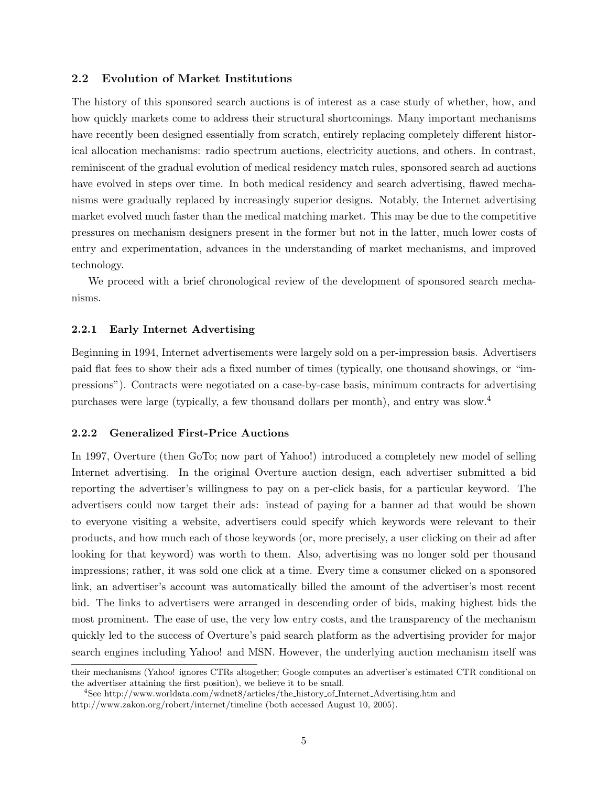### 2.2 Evolution of Market Institutions

The history of this sponsored search auctions is of interest as a case study of whether, how, and how quickly markets come to address their structural shortcomings. Many important mechanisms have recently been designed essentially from scratch, entirely replacing completely different historical allocation mechanisms: radio spectrum auctions, electricity auctions, and others. In contrast, reminiscent of the gradual evolution of medical residency match rules, sponsored search ad auctions have evolved in steps over time. In both medical residency and search advertising, flawed mechanisms were gradually replaced by increasingly superior designs. Notably, the Internet advertising market evolved much faster than the medical matching market. This may be due to the competitive pressures on mechanism designers present in the former but not in the latter, much lower costs of entry and experimentation, advances in the understanding of market mechanisms, and improved technology.

We proceed with a brief chronological review of the development of sponsored search mechanisms.

#### 2.2.1 Early Internet Advertising

Beginning in 1994, Internet advertisements were largely sold on a per-impression basis. Advertisers paid flat fees to show their ads a fixed number of times (typically, one thousand showings, or "impressions"). Contracts were negotiated on a case-by-case basis, minimum contracts for advertising purchases were large (typically, a few thousand dollars per month), and entry was slow.<sup>4</sup>

### 2.2.2 Generalized First-Price Auctions

In 1997, Overture (then GoTo; now part of Yahoo!) introduced a completely new model of selling Internet advertising. In the original Overture auction design, each advertiser submitted a bid reporting the advertiser's willingness to pay on a per-click basis, for a particular keyword. The advertisers could now target their ads: instead of paying for a banner ad that would be shown to everyone visiting a website, advertisers could specify which keywords were relevant to their products, and how much each of those keywords (or, more precisely, a user clicking on their ad after looking for that keyword) was worth to them. Also, advertising was no longer sold per thousand impressions; rather, it was sold one click at a time. Every time a consumer clicked on a sponsored link, an advertiser's account was automatically billed the amount of the advertiser's most recent bid. The links to advertisers were arranged in descending order of bids, making highest bids the most prominent. The ease of use, the very low entry costs, and the transparency of the mechanism quickly led to the success of Overture's paid search platform as the advertising provider for major search engines including Yahoo! and MSN. However, the underlying auction mechanism itself was

their mechanisms (Yahoo! ignores CTRs altogether; Google computes an advertiser's estimated CTR conditional on the advertiser attaining the first position), we believe it to be small.

<sup>4</sup>See http://www.worldata.com/wdnet8/articles/the history of Internet Advertising.htm and http://www.zakon.org/robert/internet/timeline (both accessed August 10, 2005).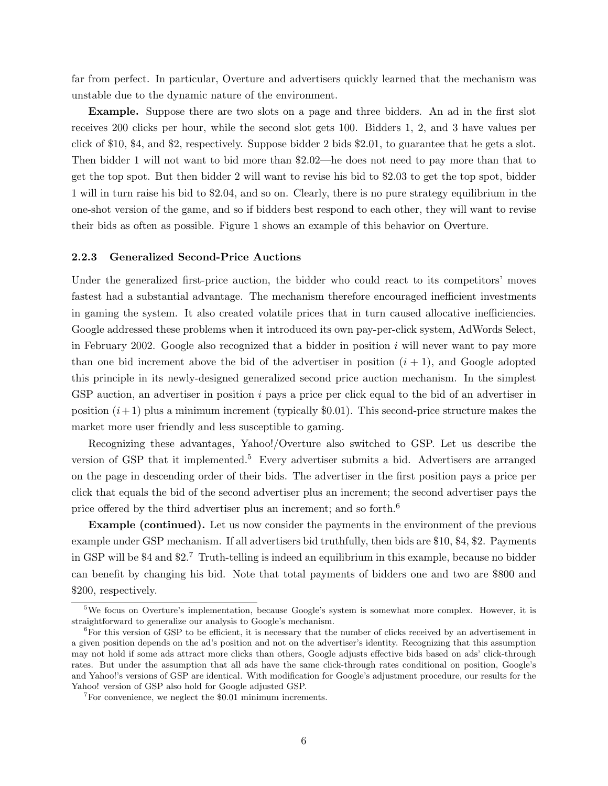far from perfect. In particular, Overture and advertisers quickly learned that the mechanism was unstable due to the dynamic nature of the environment.

Example. Suppose there are two slots on a page and three bidders. An ad in the first slot receives 200 clicks per hour, while the second slot gets 100. Bidders 1, 2, and 3 have values per click of \$10, \$4, and \$2, respectively. Suppose bidder 2 bids \$2.01, to guarantee that he gets a slot. Then bidder 1 will not want to bid more than \$2.02—he does not need to pay more than that to get the top spot. But then bidder 2 will want to revise his bid to \$2.03 to get the top spot, bidder 1 will in turn raise his bid to \$2.04, and so on. Clearly, there is no pure strategy equilibrium in the one-shot version of the game, and so if bidders best respond to each other, they will want to revise their bids as often as possible. Figure 1 shows an example of this behavior on Overture.

#### 2.2.3 Generalized Second-Price Auctions

Under the generalized first-price auction, the bidder who could react to its competitors' moves fastest had a substantial advantage. The mechanism therefore encouraged inefficient investments in gaming the system. It also created volatile prices that in turn caused allocative inefficiencies. Google addressed these problems when it introduced its own pay-per-click system, AdWords Select, in February 2002. Google also recognized that a bidder in position  $i$  will never want to pay more than one bid increment above the bid of the advertiser in position  $(i + 1)$ , and Google adopted this principle in its newly-designed generalized second price auction mechanism. In the simplest GSP auction, an advertiser in position  $i$  pays a price per click equal to the bid of an advertiser in position  $(i+1)$  plus a minimum increment (typically \$0.01). This second-price structure makes the market more user friendly and less susceptible to gaming.

Recognizing these advantages, Yahoo!/Overture also switched to GSP. Let us describe the version of GSP that it implemented.<sup>5</sup> Every advertiser submits a bid. Advertisers are arranged on the page in descending order of their bids. The advertiser in the first position pays a price per click that equals the bid of the second advertiser plus an increment; the second advertiser pays the price offered by the third advertiser plus an increment; and so forth.<sup>6</sup>

Example (continued). Let us now consider the payments in the environment of the previous example under GSP mechanism. If all advertisers bid truthfully, then bids are \$10, \$4, \$2. Payments in GSP will be  $$4$  and  $$2<sup>7</sup>$  Truth-telling is indeed an equilibrium in this example, because no bidder can benefit by changing his bid. Note that total payments of bidders one and two are \$800 and \$200, respectively.

<sup>&</sup>lt;sup>5</sup>We focus on Overture's implementation, because Google's system is somewhat more complex. However, it is straightforward to generalize our analysis to Google's mechanism.

<sup>&</sup>lt;sup>6</sup>For this version of GSP to be efficient, it is necessary that the number of clicks received by an advertisement in a given position depends on the ad's position and not on the advertiser's identity. Recognizing that this assumption may not hold if some ads attract more clicks than others, Google adjusts effective bids based on ads' click-through rates. But under the assumption that all ads have the same click-through rates conditional on position, Google's and Yahoo!'s versions of GSP are identical. With modification for Google's adjustment procedure, our results for the Yahoo! version of GSP also hold for Google adjusted GSP.

<sup>7</sup>For convenience, we neglect the \$0.01 minimum increments.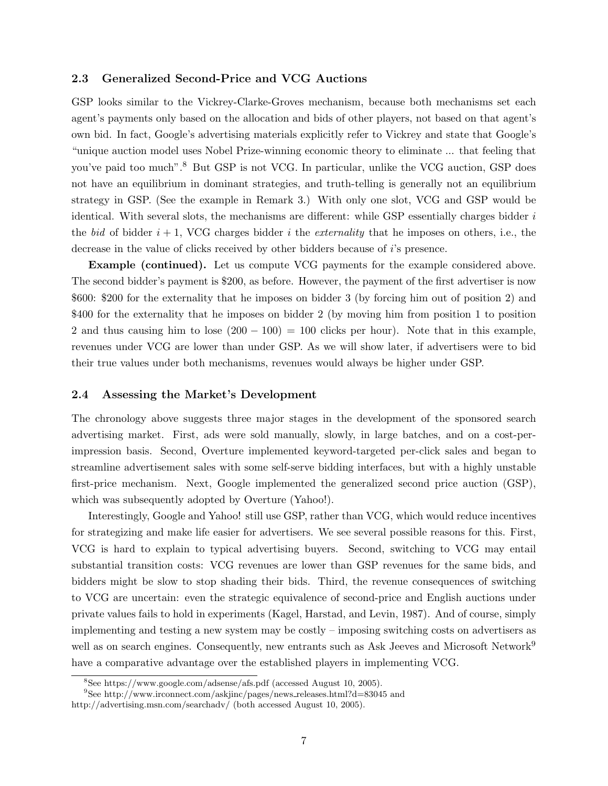### 2.3 Generalized Second-Price and VCG Auctions

GSP looks similar to the Vickrey-Clarke-Groves mechanism, because both mechanisms set each agent's payments only based on the allocation and bids of other players, not based on that agent's own bid. In fact, Google's advertising materials explicitly refer to Vickrey and state that Google's "unique auction model uses Nobel Prize-winning economic theory to eliminate ... that feeling that you've paid too much".<sup>8</sup> But GSP is not VCG. In particular, unlike the VCG auction, GSP does not have an equilibrium in dominant strategies, and truth-telling is generally not an equilibrium strategy in GSP. (See the example in Remark 3.) With only one slot, VCG and GSP would be identical. With several slots, the mechanisms are different: while GSP essentially charges bidder i the bid of bidder  $i + 1$ , VCG charges bidder i the *externality* that he imposes on others, i.e., the decrease in the value of clicks received by other bidders because of i's presence.

Example (continued). Let us compute VCG payments for the example considered above. The second bidder's payment is \$200, as before. However, the payment of the first advertiser is now \$600: \$200 for the externality that he imposes on bidder 3 (by forcing him out of position 2) and \$400 for the externality that he imposes on bidder 2 (by moving him from position 1 to position 2 and thus causing him to lose  $(200 - 100) = 100$  clicks per hour). Note that in this example, revenues under VCG are lower than under GSP. As we will show later, if advertisers were to bid their true values under both mechanisms, revenues would always be higher under GSP.

### 2.4 Assessing the Market's Development

The chronology above suggests three major stages in the development of the sponsored search advertising market. First, ads were sold manually, slowly, in large batches, and on a cost-perimpression basis. Second, Overture implemented keyword-targeted per-click sales and began to streamline advertisement sales with some self-serve bidding interfaces, but with a highly unstable first-price mechanism. Next, Google implemented the generalized second price auction (GSP), which was subsequently adopted by Overture (Yahoo!).

Interestingly, Google and Yahoo! still use GSP, rather than VCG, which would reduce incentives for strategizing and make life easier for advertisers. We see several possible reasons for this. First, VCG is hard to explain to typical advertising buyers. Second, switching to VCG may entail substantial transition costs: VCG revenues are lower than GSP revenues for the same bids, and bidders might be slow to stop shading their bids. Third, the revenue consequences of switching to VCG are uncertain: even the strategic equivalence of second-price and English auctions under private values fails to hold in experiments (Kagel, Harstad, and Levin, 1987). And of course, simply implementing and testing a new system may be costly – imposing switching costs on advertisers as well as on search engines. Consequently, new entrants such as Ask Jeeves and Microsoft Network<sup>9</sup> have a comparative advantage over the established players in implementing VCG.

<sup>8</sup>See https://www.google.com/adsense/afs.pdf (accessed August 10, 2005).

<sup>9</sup>See http://www.irconnect.com/askjinc/pages/news releases.html?d=83045 and http://advertising.msn.com/searchadv/ (both accessed August 10, 2005).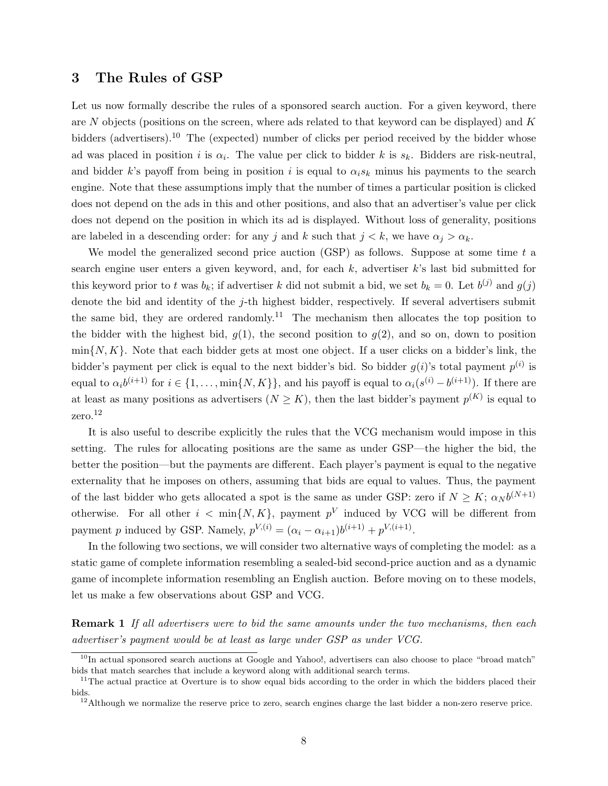### 3 The Rules of GSP

Let us now formally describe the rules of a sponsored search auction. For a given keyword, there are N objects (positions on the screen, where ads related to that keyword can be displayed) and K bidders (advertisers).<sup>10</sup> The (expected) number of clicks per period received by the bidder whose ad was placed in position *i* is  $\alpha_i$ . The value per click to bidder *k* is  $s_k$ . Bidders are risk-neutral, and bidder k's payoff from being in position i is equal to  $\alpha_i s_k$  minus his payments to the search engine. Note that these assumptions imply that the number of times a particular position is clicked does not depend on the ads in this and other positions, and also that an advertiser's value per click does not depend on the position in which its ad is displayed. Without loss of generality, positions are labeled in a descending order: for any j and k such that  $j < k$ , we have  $\alpha_i > \alpha_k$ .

We model the generalized second price auction (GSP) as follows. Suppose at some time  $t$  a search engine user enters a given keyword, and, for each  $k$ , advertiser  $k$ 's last bid submitted for this keyword prior to t was  $b_k$ ; if advertiser k did not submit a bid, we set  $b_k = 0$ . Let  $b^{(j)}$  and  $g(j)$ denote the bid and identity of the j-th highest bidder, respectively. If several advertisers submit the same bid, they are ordered randomly.<sup>11</sup> The mechanism then allocates the top position to the bidder with the highest bid,  $q(1)$ , the second position to  $q(2)$ , and so on, down to position  $\min\{N, K\}$ . Note that each bidder gets at most one object. If a user clicks on a bidder's link, the bidder's payment per click is equal to the next bidder's bid. So bidder  $g(i)$ 's total payment  $p^{(i)}$  is equal to  $\alpha_i b^{(i+1)}$  for  $i \in \{1, ..., \min\{N, K\}\}$ , and his payoff is equal to  $\alpha_i (s^{(i)} - b^{(i+1)})$ . If there are at least as many positions as advertisers  $(N \geq K)$ , then the last bidder's payment  $p^{(K)}$  is equal to zero.<sup>12</sup>

It is also useful to describe explicitly the rules that the VCG mechanism would impose in this setting. The rules for allocating positions are the same as under GSP—the higher the bid, the better the position—but the payments are different. Each player's payment is equal to the negative externality that he imposes on others, assuming that bids are equal to values. Thus, the payment of the last bidder who gets allocated a spot is the same as under GSP: zero if  $N \geq K$ ;  $\alpha_N b^{(N+1)}$ otherwise. For all other  $i < \min\{N, K\}$ , payment  $p^V$  induced by VCG will be different from payment p induced by GSP. Namely,  $p^{V,(i)} = (\alpha_i - \alpha_{i+1})b^{(i+1)} + p^{V,(i+1)}$ .

In the following two sections, we will consider two alternative ways of completing the model: as a static game of complete information resembling a sealed-bid second-price auction and as a dynamic game of incomplete information resembling an English auction. Before moving on to these models, let us make a few observations about GSP and VCG.

**Remark 1** If all advertisers were to bid the same amounts under the two mechanisms, then each advertiser's payment would be at least as large under GSP as under VCG.

<sup>&</sup>lt;sup>10</sup>In actual sponsored search auctions at Google and Yahoo!, advertisers can also choose to place "broad match" bids that match searches that include a keyword along with additional search terms.

<sup>&</sup>lt;sup>11</sup>The actual practice at Overture is to show equal bids according to the order in which the bidders placed their bids.

 $12$ Although we normalize the reserve price to zero, search engines charge the last bidder a non-zero reserve price.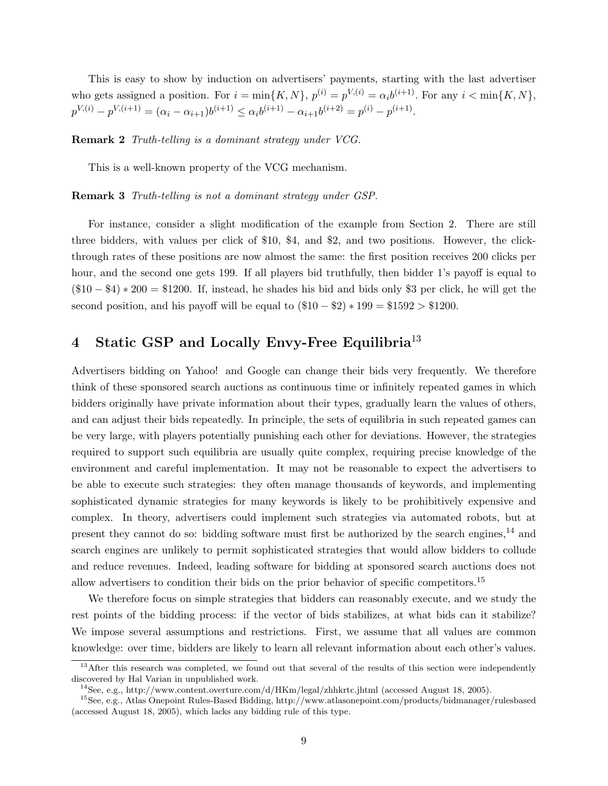This is easy to show by induction on advertisers' payments, starting with the last advertiser who gets assigned a position. For  $i = \min\{K, N\}$ ,  $p^{(i)} = p^{V_i(i)} = \alpha_i b^{(i+1)}$ . For any  $i < \min\{K, N\}$ ,  $p^{V,(i)} - p^{V,(i+1)} = (\alpha_i - \alpha_{i+1})b^{(i+1)} \leq \alpha_i b^{(i+1)} - \alpha_{i+1} b^{(i+2)} = p^{(i)} - p^{(i+1)}.$ 

Remark 2 Truth-telling is a dominant strategy under VCG.

This is a well-known property of the VCG mechanism.

#### Remark 3 Truth-telling is not a dominant strategy under GSP.

For instance, consider a slight modification of the example from Section 2. There are still three bidders, with values per click of \$10, \$4, and \$2, and two positions. However, the clickthrough rates of these positions are now almost the same: the first position receives 200 clicks per hour, and the second one gets 199. If all players bid truthfully, then bidder 1's payoff is equal to  $(\$10 - \$4) * 200 = \$1200$ . If, instead, he shades his bid and bids only \$3 per click, he will get the second position, and his payoff will be equal to  $(\$10 - \$2) * 199 = \$1592 > \$1200$ .

# 4 Static GSP and Locally Envy-Free Equilibria<sup>13</sup>

Advertisers bidding on Yahoo! and Google can change their bids very frequently. We therefore think of these sponsored search auctions as continuous time or infinitely repeated games in which bidders originally have private information about their types, gradually learn the values of others, and can adjust their bids repeatedly. In principle, the sets of equilibria in such repeated games can be very large, with players potentially punishing each other for deviations. However, the strategies required to support such equilibria are usually quite complex, requiring precise knowledge of the environment and careful implementation. It may not be reasonable to expect the advertisers to be able to execute such strategies: they often manage thousands of keywords, and implementing sophisticated dynamic strategies for many keywords is likely to be prohibitively expensive and complex. In theory, advertisers could implement such strategies via automated robots, but at present they cannot do so: bidding software must first be authorized by the search engines,<sup>14</sup> and search engines are unlikely to permit sophisticated strategies that would allow bidders to collude and reduce revenues. Indeed, leading software for bidding at sponsored search auctions does not allow advertisers to condition their bids on the prior behavior of specific competitors.<sup>15</sup>

We therefore focus on simple strategies that bidders can reasonably execute, and we study the rest points of the bidding process: if the vector of bids stabilizes, at what bids can it stabilize? We impose several assumptions and restrictions. First, we assume that all values are common knowledge: over time, bidders are likely to learn all relevant information about each other's values.

<sup>&</sup>lt;sup>13</sup>After this research was completed, we found out that several of the results of this section were independently discovered by Hal Varian in unpublished work.

 $14$ See, e.g., http://www.content.overture.com/d/HKm/legal/zhhkrtc.jhtml (accessed August 18, 2005).

<sup>15</sup>See, e.g., Atlas Onepoint Rules-Based Bidding, http://www.atlasonepoint.com/products/bidmanager/rulesbased (accessed August 18, 2005), which lacks any bidding rule of this type.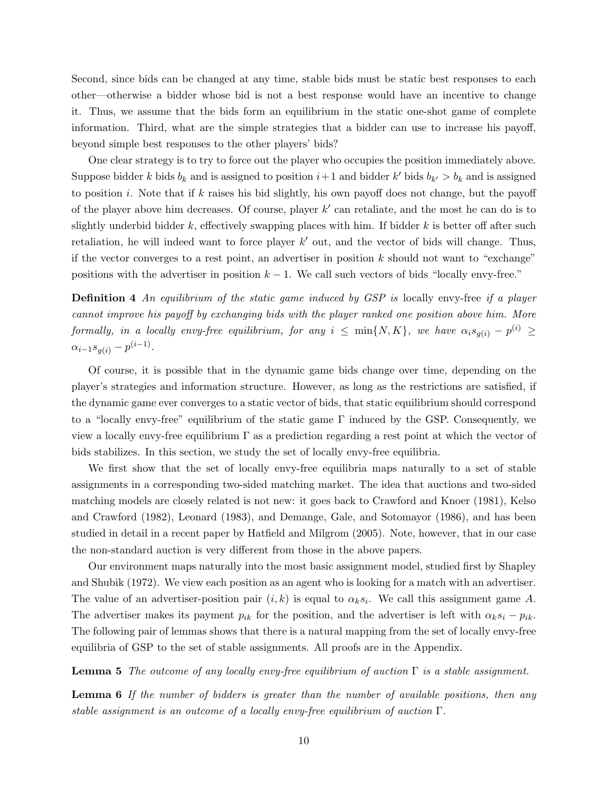Second, since bids can be changed at any time, stable bids must be static best responses to each other—otherwise a bidder whose bid is not a best response would have an incentive to change it. Thus, we assume that the bids form an equilibrium in the static one-shot game of complete information. Third, what are the simple strategies that a bidder can use to increase his payoff, beyond simple best responses to the other players' bids?

One clear strategy is to try to force out the player who occupies the position immediately above. Suppose bidder k bids  $b_k$  and is assigned to position  $i+1$  and bidder k' bids  $b_{k'} > b_k$  and is assigned to position i. Note that if k raises his bid slightly, his own payoff does not change, but the payoff of the player above him decreases. Of course, player  $k'$  can retaliate, and the most he can do is to slightly underbid bidder  $k$ , effectively swapping places with him. If bidder  $k$  is better off after such retaliation, he will indeed want to force player  $k'$  out, and the vector of bids will change. Thus, if the vector converges to a rest point, an advertiser in position  $k$  should not want to "exchange" positions with the advertiser in position  $k - 1$ . We call such vectors of bids "locally envy-free."

**Definition 4** An equilibrium of the static game induced by GSP is locally envy-free if a player cannot improve his payoff by exchanging bids with the player ranked one position above him. More formally, in a locally envy-free equilibrium, for any  $i ~\leq ~ \min\{N,K\},$  we have  $\alpha_i s_{g(i)} - p^{(i)} ~\geq$  $\alpha_{i-1} s_{g(i)} - p^{(i-1)}$ .

Of course, it is possible that in the dynamic game bids change over time, depending on the player's strategies and information structure. However, as long as the restrictions are satisfied, if the dynamic game ever converges to a static vector of bids, that static equilibrium should correspond to a "locally envy-free" equilibrium of the static game  $\Gamma$  induced by the GSP. Consequently, we view a locally envy-free equilibrium  $\Gamma$  as a prediction regarding a rest point at which the vector of bids stabilizes. In this section, we study the set of locally envy-free equilibria.

We first show that the set of locally envy-free equilibria maps naturally to a set of stable assignments in a corresponding two-sided matching market. The idea that auctions and two-sided matching models are closely related is not new: it goes back to Crawford and Knoer (1981), Kelso and Crawford (1982), Leonard (1983), and Demange, Gale, and Sotomayor (1986), and has been studied in detail in a recent paper by Hatfield and Milgrom (2005). Note, however, that in our case the non-standard auction is very different from those in the above papers.

Our environment maps naturally into the most basic assignment model, studied first by Shapley and Shubik (1972). We view each position as an agent who is looking for a match with an advertiser. The value of an advertiser-position pair  $(i, k)$  is equal to  $\alpha_k s_i$ . We call this assignment game A. The advertiser makes its payment  $p_{ik}$  for the position, and the advertiser is left with  $\alpha_k s_i - p_{ik}$ . The following pair of lemmas shows that there is a natural mapping from the set of locally envy-free equilibria of GSP to the set of stable assignments. All proofs are in the Appendix.

**Lemma 5** The outcome of any locally envy-free equilibrium of auction  $\Gamma$  is a stable assignment.

**Lemma 6** If the number of bidders is greater than the number of available positions, then any stable assignment is an outcome of a locally envy-free equilibrium of auction Γ.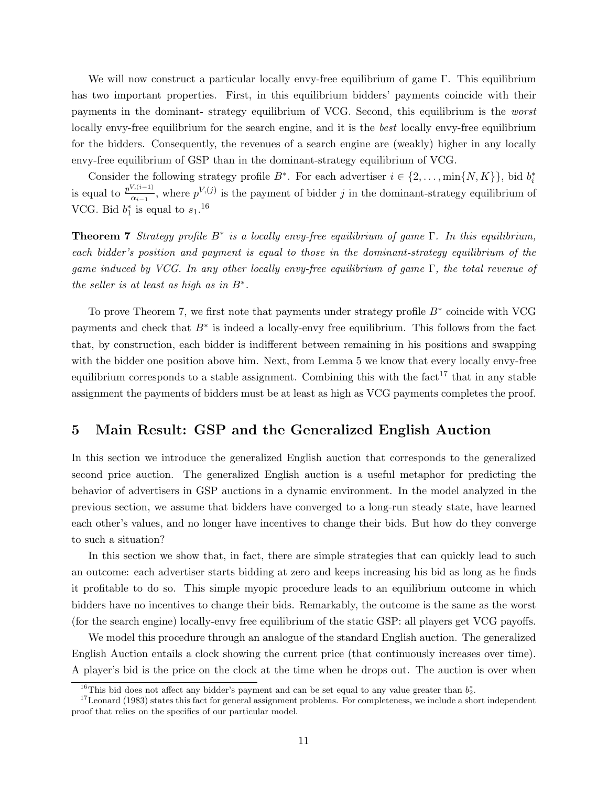We will now construct a particular locally envy-free equilibrium of game Γ. This equilibrium has two important properties. First, in this equilibrium bidders' payments coincide with their payments in the dominant- strategy equilibrium of VCG. Second, this equilibrium is the worst locally envy-free equilibrium for the search engine, and it is the best locally envy-free equilibrium for the bidders. Consequently, the revenues of a search engine are (weakly) higher in any locally envy-free equilibrium of GSP than in the dominant-strategy equilibrium of VCG.

Consider the following strategy profile  $B^*$ . For each advertiser  $i \in \{2, \ldots, \min\{N, K\}\}\,$  bid  $b_i^*$ is equal to  $\frac{p^{V,(i-1)}}{q}$  $\frac{\alpha_{i,(i-1)}}{\alpha_{i-1}}$ , where  $p^{V,(j)}$  is the payment of bidder j in the dominant-strategy equilibrium of VCG. Bid  $b_1^*$  is equal to  $s_1$ .<sup>16</sup>

**Theorem 7** Strategy profile  $B^*$  is a locally envy-free equilibrium of game  $\Gamma$ . In this equilibrium, each bidder's position and payment is equal to those in the dominant-strategy equilibrium of the game induced by VCG. In any other locally envy-free equilibrium of game  $\Gamma$ , the total revenue of the seller is at least as high as in  $B^*$ .

To prove Theorem 7, we first note that payments under strategy profile  $B^*$  coincide with VCG payments and check that  $B^*$  is indeed a locally-envy free equilibrium. This follows from the fact that, by construction, each bidder is indifferent between remaining in his positions and swapping with the bidder one position above him. Next, from Lemma 5 we know that every locally envy-free equilibrium corresponds to a stable assignment. Combining this with the fact<sup>17</sup> that in any stable assignment the payments of bidders must be at least as high as VCG payments completes the proof.

# 5 Main Result: GSP and the Generalized English Auction

In this section we introduce the generalized English auction that corresponds to the generalized second price auction. The generalized English auction is a useful metaphor for predicting the behavior of advertisers in GSP auctions in a dynamic environment. In the model analyzed in the previous section, we assume that bidders have converged to a long-run steady state, have learned each other's values, and no longer have incentives to change their bids. But how do they converge to such a situation?

In this section we show that, in fact, there are simple strategies that can quickly lead to such an outcome: each advertiser starts bidding at zero and keeps increasing his bid as long as he finds it profitable to do so. This simple myopic procedure leads to an equilibrium outcome in which bidders have no incentives to change their bids. Remarkably, the outcome is the same as the worst (for the search engine) locally-envy free equilibrium of the static GSP: all players get VCG payoffs.

We model this procedure through an analogue of the standard English auction. The generalized English Auction entails a clock showing the current price (that continuously increases over time). A player's bid is the price on the clock at the time when he drops out. The auction is over when

<sup>&</sup>lt;sup>16</sup>This bid does not affect any bidder's payment and can be set equal to any value greater than  $b_2^*$ .

 $17$ Leonard (1983) states this fact for general assignment problems. For completeness, we include a short independent proof that relies on the specifics of our particular model.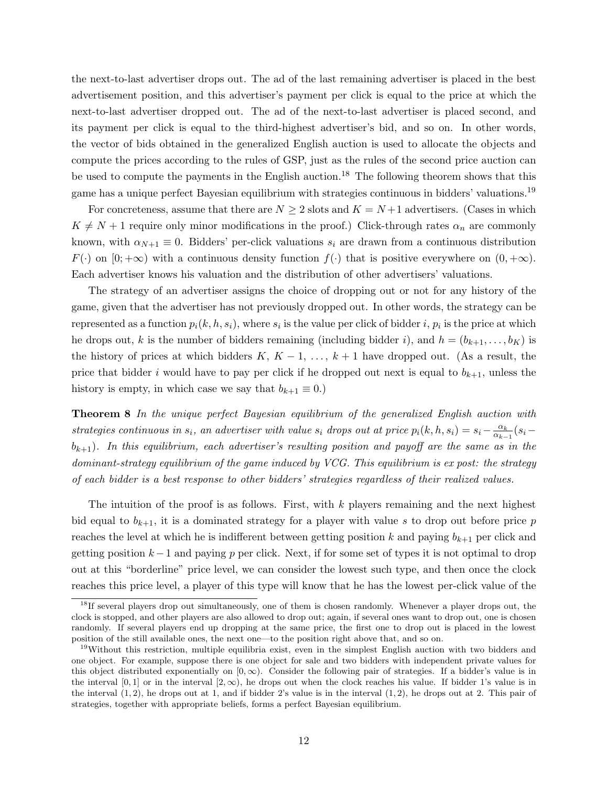the next-to-last advertiser drops out. The ad of the last remaining advertiser is placed in the best advertisement position, and this advertiser's payment per click is equal to the price at which the next-to-last advertiser dropped out. The ad of the next-to-last advertiser is placed second, and its payment per click is equal to the third-highest advertiser's bid, and so on. In other words, the vector of bids obtained in the generalized English auction is used to allocate the objects and compute the prices according to the rules of GSP, just as the rules of the second price auction can be used to compute the payments in the English auction.<sup>18</sup> The following theorem shows that this game has a unique perfect Bayesian equilibrium with strategies continuous in bidders' valuations.<sup>19</sup>

For concreteness, assume that there are  $N \geq 2$  slots and  $K = N+1$  advertisers. (Cases in which  $K \neq N + 1$  require only minor modifications in the proof.) Click-through rates  $\alpha_n$  are commonly known, with  $\alpha_{N+1} \equiv 0$ . Bidders' per-click valuations  $s_i$  are drawn from a continuous distribution  $F(\cdot)$  on  $[0, +\infty)$  with a continuous density function  $f(\cdot)$  that is positive everywhere on  $(0, +\infty)$ . Each advertiser knows his valuation and the distribution of other advertisers' valuations.

The strategy of an advertiser assigns the choice of dropping out or not for any history of the game, given that the advertiser has not previously dropped out. In other words, the strategy can be represented as a function  $p_i(k, h, s_i)$ , where  $s_i$  is the value per click of bidder i,  $p_i$  is the price at which he drops out, k is the number of bidders remaining (including bidder i), and  $h = (b_{k+1}, \ldots, b_K)$  is the history of prices at which bidders  $K, K - 1, \ldots, k + 1$  have dropped out. (As a result, the price that bidder i would have to pay per click if he dropped out next is equal to  $b_{k+1}$ , unless the history is empty, in which case we say that  $b_{k+1} \equiv 0$ .)

Theorem 8 In the unique perfect Bayesian equilibrium of the generalized English auction with strategies continuous in  $s_i$ , an advertiser with value  $s_i$  drops out at price  $p_i(k, h, s_i) = s_i - \frac{\alpha_k}{\alpha_k}$  $\frac{\alpha_k}{\alpha_{k-1}}(s_i$  $b_{k+1}$ ). In this equilibrium, each advertiser's resulting position and payoff are the same as in the dominant-strategy equilibrium of the game induced by VCG. This equilibrium is ex post: the strategy of each bidder is a best response to other bidders' strategies regardless of their realized values.

The intuition of the proof is as follows. First, with  $k$  players remaining and the next highest bid equal to  $b_{k+1}$ , it is a dominated strategy for a player with value s to drop out before price p reaches the level at which he is indifferent between getting position k and paying  $b_{k+1}$  per click and getting position  $k-1$  and paying p per click. Next, if for some set of types it is not optimal to drop out at this "borderline" price level, we can consider the lowest such type, and then once the clock reaches this price level, a player of this type will know that he has the lowest per-click value of the

<sup>&</sup>lt;sup>18</sup>If several players drop out simultaneously, one of them is chosen randomly. Whenever a player drops out, the clock is stopped, and other players are also allowed to drop out; again, if several ones want to drop out, one is chosen randomly. If several players end up dropping at the same price, the first one to drop out is placed in the lowest position of the still available ones, the next one—to the position right above that, and so on.

<sup>&</sup>lt;sup>19</sup>Without this restriction, multiple equilibria exist, even in the simplest English auction with two bidders and one object. For example, suppose there is one object for sale and two bidders with independent private values for this object distributed exponentially on  $[0, \infty)$ . Consider the following pair of strategies. If a bidder's value is in the interval  $[0,1]$  or in the interval  $[2,\infty)$ , he drops out when the clock reaches his value. If bidder 1's value is in the interval  $(1, 2)$ , he drops out at 1, and if bidder 2's value is in the interval  $(1, 2)$ , he drops out at 2. This pair of strategies, together with appropriate beliefs, forms a perfect Bayesian equilibrium.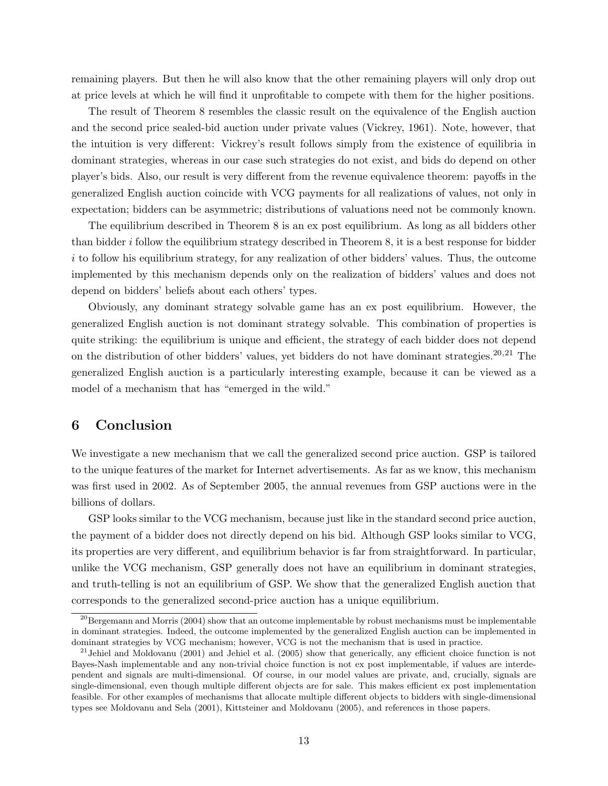remaining players. But then he will also know that the other remaining players will only drop out at price levels at which he will find it unprofitable to compete with them for the higher positions.

The result of Theorem 8 resembles the classic result on the equivalence of the English auction and the second price sealed-bid auction under private values (Vickrey, 1961). Note, however, that the intuition is very different: Vickrey's result follows simply from the existence of equilibria in dominant strategies, whereas in our case such strategies do not exist, and bids do depend on other player's bids. Also, our result is very different from the revenue equivalence theorem: payoffs in the generalized English auction coincide with VCG payments for all realizations of values, not only in expectation; bidders can be asymmetric; distributions of valuations need not be commonly known.

The equilibrium described in Theorem 8 is an ex post equilibrium. As long as all bidders other than bidder  $i$  follow the equilibrium strategy described in Theorem 8, it is a best response for bidder  $i$  to follow his equilibrium strategy, for any realization of other bidders' values. Thus, the outcome implemented by this mechanism depends only on the realization of bidders' values and does not depend on bidders' beliefs about each others' types.

Obviously, any dominant strategy solvable game has an ex post equilibrium. However, the generalized English auction is not dominant strategy solvable. This combination of properties is quite striking: the equilibrium is unique and efficient, the strategy of each bidder does not depend on the distribution of other bidders' values, yet bidders do not have dominant strategies.<sup>20,21</sup> The generalized English auction is a particularly interesting example, because it can be viewed as a model of a mechanism that has "emerged in the wild."

# 6 Conclusion

We investigate a new mechanism that we call the generalized second price auction. GSP is tailored to the unique features of the market for Internet advertisements. As far as we know, this mechanism was first used in 2002. As of September 2005, the annual revenues from GSP auctions were in the billions of dollars.

GSP looks similar to the VCG mechanism, because just like in the standard second price auction, the payment of a bidder does not directly depend on his bid. Although GSP looks similar to VCG, its properties are very different, and equilibrium behavior is far from straightforward. In particular, unlike the VCG mechanism, GSP generally does not have an equilibrium in dominant strategies, and truth-telling is not an equilibrium of GSP. We show that the generalized English auction that corresponds to the generalized second-price auction has a unique equilibrium.

 $^{20}$ Bergemann and Morris (2004) show that an outcome implementable by robust mechanisms must be implementable in dominant strategies. Indeed, the outcome implemented by the generalized English auction can be implemented in dominant strategies by VCG mechanism; however, VCG is not the mechanism that is used in practice.

<sup>&</sup>lt;sup>21</sup> Jehiel and Moldovanu (2001) and Jehiel et al. (2005) show that generically, any efficient choice function is not Bayes-Nash implementable and any non-trivial choice function is not ex post implementable, if values are interdependent and signals are multi-dimensional. Of course, in our model values are private, and, crucially, signals are single-dimensional, even though multiple different objects are for sale. This makes efficient ex post implementation feasible. For other examples of mechanisms that allocate multiple different objects to bidders with single-dimensional types see Moldovanu and Sela (2001), Kittsteiner and Moldovanu (2005), and references in those papers.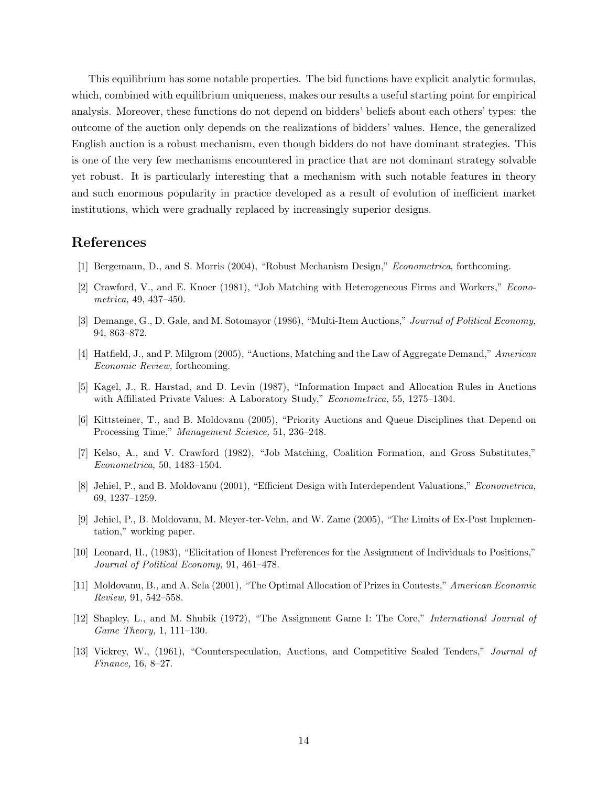This equilibrium has some notable properties. The bid functions have explicit analytic formulas, which, combined with equilibrium uniqueness, makes our results a useful starting point for empirical analysis. Moreover, these functions do not depend on bidders' beliefs about each others' types: the outcome of the auction only depends on the realizations of bidders' values. Hence, the generalized English auction is a robust mechanism, even though bidders do not have dominant strategies. This is one of the very few mechanisms encountered in practice that are not dominant strategy solvable yet robust. It is particularly interesting that a mechanism with such notable features in theory and such enormous popularity in practice developed as a result of evolution of inefficient market institutions, which were gradually replaced by increasingly superior designs.

# References

- [1] Bergemann, D., and S. Morris (2004), "Robust Mechanism Design," Econometrica, forthcoming.
- [2] Crawford, V., and E. Knoer (1981), "Job Matching with Heterogeneous Firms and Workers," Econometrica, 49, 437–450.
- [3] Demange, G., D. Gale, and M. Sotomayor (1986), "Multi-Item Auctions," Journal of Political Economy, 94, 863–872.
- [4] Hatfield, J., and P. Milgrom (2005), "Auctions, Matching and the Law of Aggregate Demand," American Economic Review, forthcoming.
- [5] Kagel, J., R. Harstad, and D. Levin (1987), "Information Impact and Allocation Rules in Auctions with Affiliated Private Values: A Laboratory Study," Econometrica, 55, 1275–1304.
- [6] Kittsteiner, T., and B. Moldovanu (2005), "Priority Auctions and Queue Disciplines that Depend on Processing Time," Management Science, 51, 236–248.
- [7] Kelso, A., and V. Crawford (1982), "Job Matching, Coalition Formation, and Gross Substitutes," Econometrica, 50, 1483–1504.
- [8] Jehiel, P., and B. Moldovanu (2001), "Efficient Design with Interdependent Valuations," Econometrica, 69, 1237–1259.
- [9] Jehiel, P., B. Moldovanu, M. Meyer-ter-Vehn, and W. Zame (2005), "The Limits of Ex-Post Implementation," working paper.
- [10] Leonard, H., (1983), "Elicitation of Honest Preferences for the Assignment of Individuals to Positions," Journal of Political Economy, 91, 461–478.
- [11] Moldovanu, B., and A. Sela (2001), "The Optimal Allocation of Prizes in Contests," American Economic Review, 91, 542–558.
- [12] Shapley, L., and M. Shubik (1972), "The Assignment Game I: The Core," International Journal of Game Theory, 1, 111–130.
- [13] Vickrey, W., (1961), "Counterspeculation, Auctions, and Competitive Sealed Tenders," Journal of Finance, 16, 8–27.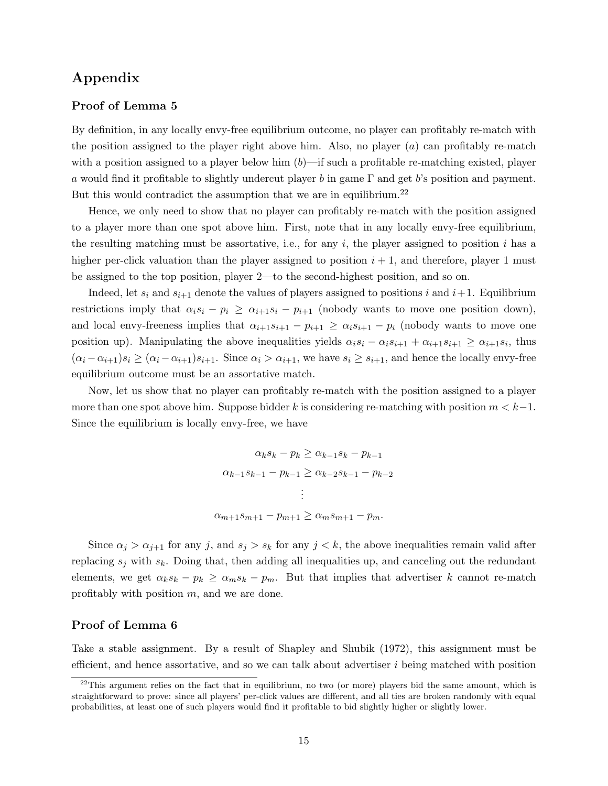# Appendix

### Proof of Lemma 5

By definition, in any locally envy-free equilibrium outcome, no player can profitably re-match with the position assigned to the player right above him. Also, no player  $(a)$  can profitably re-match with a position assigned to a player below him  $(b)$ —if such a profitable re-matching existed, player a would find it profitable to slightly undercut player b in game  $\Gamma$  and get b's position and payment. But this would contradict the assumption that we are in equilibrium.<sup>22</sup>

Hence, we only need to show that no player can profitably re-match with the position assigned to a player more than one spot above him. First, note that in any locally envy-free equilibrium, the resulting matching must be assortative, i.e., for any  $i$ , the player assigned to position  $i$  has a higher per-click valuation than the player assigned to position  $i + 1$ , and therefore, player 1 must be assigned to the top position, player 2—to the second-highest position, and so on.

Indeed, let  $s_i$  and  $s_{i+1}$  denote the values of players assigned to positions i and  $i+1$ . Equilibrium restrictions imply that  $\alpha_i s_i - p_i \geq \alpha_{i+1} s_i - p_{i+1}$  (nobody wants to move one position down), and local envy-freeness implies that  $\alpha_{i+1}s_{i+1} - p_{i+1} \geq \alpha_i s_{i+1} - p_i$  (nobody wants to move one position up). Manipulating the above inequalities yields  $\alpha_i s_i - \alpha_i s_{i+1} + \alpha_{i+1} s_{i+1} \ge \alpha_{i+1} s_i$ , thus  $(\alpha_i - \alpha_{i+1})s_i \geq (\alpha_i - \alpha_{i+1})s_{i+1}$ . Since  $\alpha_i > \alpha_{i+1}$ , we have  $s_i \geq s_{i+1}$ , and hence the locally envy-free equilibrium outcome must be an assortative match.

Now, let us show that no player can profitably re-match with the position assigned to a player more than one spot above him. Suppose bidder k is considering re-matching with position  $m < k-1$ . Since the equilibrium is locally envy-free, we have

$$
\alpha_k s_k - p_k \ge \alpha_{k-1} s_k - p_{k-1}
$$

$$
\alpha_{k-1} s_{k-1} - p_{k-1} \ge \alpha_{k-2} s_{k-1} - p_{k-2}
$$

$$
\vdots
$$

$$
\alpha_{m+1} s_{m+1} - p_{m+1} \ge \alpha_m s_{m+1} - p_m.
$$

Since  $\alpha_j > \alpha_{j+1}$  for any j, and  $s_j > s_k$  for any  $j < k$ , the above inequalities remain valid after replacing  $s_j$  with  $s_k$ . Doing that, then adding all inequalities up, and canceling out the redundant elements, we get  $\alpha_k s_k - p_k \ge \alpha_m s_k - p_m$ . But that implies that advertiser k cannot re-match profitably with position m, and we are done.

#### Proof of Lemma 6

Take a stable assignment. By a result of Shapley and Shubik (1972), this assignment must be efficient, and hence assortative, and so we can talk about advertiser  $i$  being matched with position

 $22$ This argument relies on the fact that in equilibrium, no two (or more) players bid the same amount, which is straightforward to prove: since all players' per-click values are different, and all ties are broken randomly with equal probabilities, at least one of such players would find it profitable to bid slightly higher or slightly lower.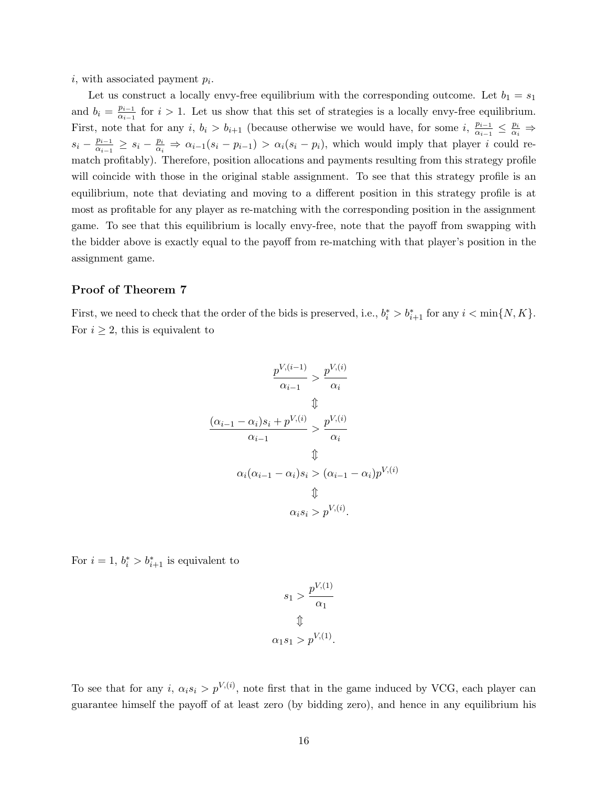$i$ , with associated payment  $p_i$ .

Let us construct a locally envy-free equilibrium with the corresponding outcome. Let  $b_1 = s_1$ and  $b_i = \frac{p_{i-1}}{p_{i-1}}$  $\frac{p_{i-1}}{\alpha_{i-1}}$  for  $i > 1$ . Let us show that this set of strategies is a locally envy-free equilibrium. First, note that for any i,  $b_i > b_{i+1}$  (because otherwise we would have, for some i,  $\frac{p_{i-1}}{a_{i-1}}$  $\frac{p_{i-1}}{\alpha_{i-1}} \leq \frac{p_i}{\alpha_i} \Rightarrow$  $s_i - \frac{p_{i-1}}{\alpha_{i-1}}$  $\frac{p_{i-1}}{\alpha_{i-1}} \geq s_i - \frac{p_i}{\alpha_i} \Rightarrow \alpha_{i-1}(s_i - p_{i-1}) > \alpha_i(s_i - p_i)$ , which would imply that player i could rematch profitably). Therefore, position allocations and payments resulting from this strategy profile will coincide with those in the original stable assignment. To see that this strategy profile is an equilibrium, note that deviating and moving to a different position in this strategy profile is at most as profitable for any player as re-matching with the corresponding position in the assignment game. To see that this equilibrium is locally envy-free, note that the payoff from swapping with the bidder above is exactly equal to the payoff from re-matching with that player's position in the assignment game.

### Proof of Theorem 7

First, we need to check that the order of the bids is preserved, i.e.,  $b_i^* > b_{i+1}^*$  for any  $i < \min\{N, K\}$ . For  $i \geq 2$ , this is equivalent to

$$
\frac{p^{V,(i-1)}}{\alpha_{i-1}} > \frac{p^{V,(i)}}{\alpha_i}
$$
\n
$$
\frac{\text{(}\alpha_{i-1} - \alpha_i)s_i + p^{V,(i)}}{\alpha_i} > \frac{p^{V,(i)}}{\alpha_i}
$$
\n
$$
\text{(}\alpha_i - 1 - \alpha_i)s_i > (\alpha_{i-1} - \alpha_i)p^{V,(i)}
$$
\n
$$
\text{(}\alpha_i s_i > p^{V,(i)}.
$$

For  $i = 1, b_i^* > b_{i+1}^*$  is equivalent to

$$
s_1 > \frac{p^{V,(1)}}{\alpha_1}
$$

$$
\updownarrow
$$

$$
\alpha_1 s_1 > p^{V,(1)}.
$$

To see that for any  $i, \alpha_i s_i > p^{V_i(i)}$ , note first that in the game induced by VCG, each player can guarantee himself the payoff of at least zero (by bidding zero), and hence in any equilibrium his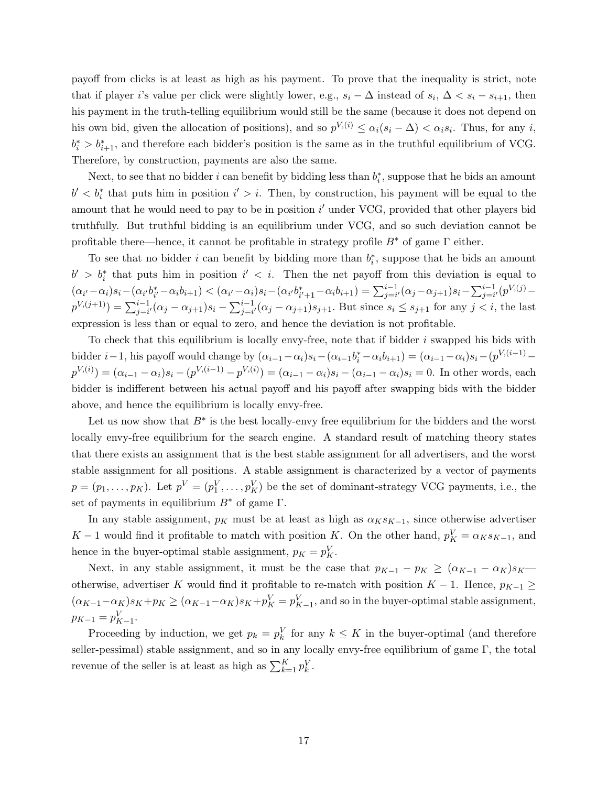payoff from clicks is at least as high as his payment. To prove that the inequality is strict, note that if player i's value per click were slightly lower, e.g.,  $s_i - \Delta$  instead of  $s_i, \Delta < s_i - s_{i+1}$ , then his payment in the truth-telling equilibrium would still be the same (because it does not depend on his own bid, given the allocation of positions), and so  $p^{V,(i)} \leq \alpha_i (s_i - \Delta) < \alpha_i s_i$ . Thus, for any i,  $b_i^* > b_{i+1}^*$ , and therefore each bidder's position is the same as in the truthful equilibrium of VCG. Therefore, by construction, payments are also the same.

Next, to see that no bidder *i* can benefit by bidding less than  $b_i^*$ , suppose that he bids an amount  $b' < b_i^*$  that puts him in position  $i' > i$ . Then, by construction, his payment will be equal to the amount that he would need to pay to be in position  $i'$  under VCG, provided that other players bid truthfully. But truthful bidding is an equilibrium under VCG, and so such deviation cannot be profitable there—hence, it cannot be profitable in strategy profile  $B^*$  of game  $\Gamma$  either.

To see that no bidder i can benefit by bidding more than  $b_i^*$ , suppose that he bids an amount  $b' > b_i^*$  that puts him in position  $i' < i$ . Then the net payoff from this deviation is equal to  $(\alpha_{i'}-\alpha_i)s_i-(\alpha_{i'}b_{i'}^*-\alpha_ib_{i+1})<(\alpha_{i'}-\alpha_i)s_i-(\alpha_{i'}b_{i'+1}^*-\alpha_ib_{i+1})=\sum_{j=i'}^{i-1}(\alpha_j-\alpha_{j+1})s_i-\sum_{j=i'}^{i-1}(p^{V,(j)}-\alpha_i)s_j$  $p^{V,(j+1)} = \sum_{j=i'}^{i-1} (\alpha_j - \alpha_{j+1}) s_i - \sum_{j=i'}^{i-1} (\alpha_j - \alpha_{j+1}) s_{j+1}$ . But since  $s_i \leq s_{j+1}$  for any  $j < i$ , the last expression is less than or equal to zero, and hence the deviation is not profitable.

To check that this equilibrium is locally envy-free, note that if bidder i swapped his bids with bidder *i* − 1, his payoff would change by  $(\alpha_{i-1} - \alpha_i)s_i - (\alpha_{i-1}b_i^* - \alpha_i b_{i+1}) = (\alpha_{i-1} - \alpha_i)s_i - (p^{V,(i-1)} - \alpha_i s_i)$  $p^{V,(i)} = (\alpha_{i-1} - \alpha_i)s_i - (p^{V,(i-1)} - p^{V,(i)}) = (\alpha_{i-1} - \alpha_i)s_i - (\alpha_{i-1} - \alpha_i)s_i = 0.$  In other words, each bidder is indifferent between his actual payoff and his payoff after swapping bids with the bidder above, and hence the equilibrium is locally envy-free.

Let us now show that  $B^*$  is the best locally-envy free equilibrium for the bidders and the worst locally envy-free equilibrium for the search engine. A standard result of matching theory states that there exists an assignment that is the best stable assignment for all advertisers, and the worst stable assignment for all positions. A stable assignment is characterized by a vector of payments  $p = (p_1, \ldots, p_K)$ . Let  $p^V = (p_1^V, \ldots, p_K^V)$  be the set of dominant-strategy VCG payments, i.e., the set of payments in equilibrium  $B^*$  of game  $\Gamma$ .

In any stable assignment,  $p_K$  must be at least as high as  $\alpha_K s_{K-1}$ , since otherwise advertiser K – 1 would find it profitable to match with position K. On the other hand,  $p_K^V = \alpha_K s_{K-1}$ , and hence in the buyer-optimal stable assignment,  $p_K = p_K^V$ .

Next, in any stable assignment, it must be the case that  $p_{K-1} - p_K \ge (\alpha_{K-1} - \alpha_K)s_K$  otherwise, advertiser K would find it profitable to re-match with position  $K - 1$ . Hence,  $p_{K-1} \geq$  $(\alpha_{K-1}-\alpha_K)s_K+p_K \geq (\alpha_{K-1}-\alpha_K)s_K+p_K^V=p_{K-1}^V$ , and so in the buyer-optimal stable assignment,  $p_{K-1} = p_{K-1}^V$ .

Proceeding by induction, we get  $p_k = p_k^V$  for any  $k \leq K$  in the buyer-optimal (and therefore seller-pessimal) stable assignment, and so in any locally envy-free equilibrium of game Γ, the total revenue of the seller is at least as high as  $\sum_{k=1}^{K} p_k^V$ .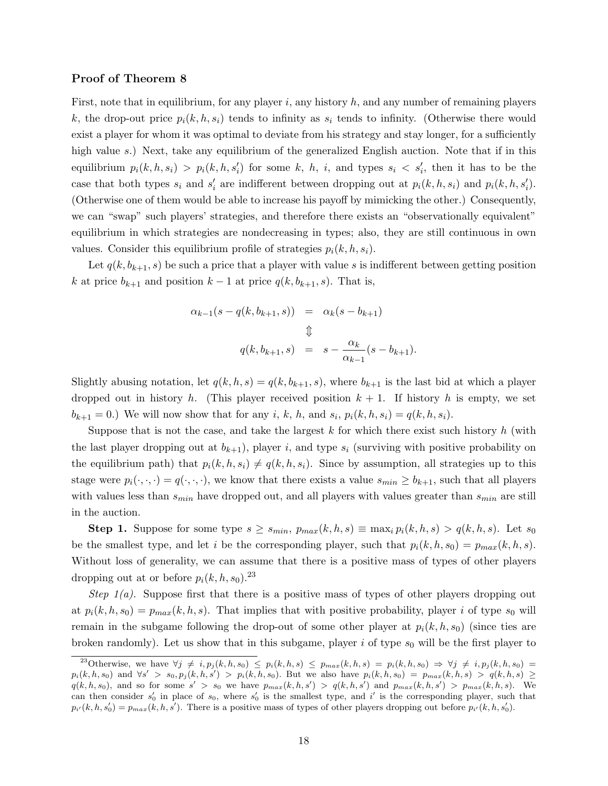#### Proof of Theorem 8

First, note that in equilibrium, for any player i, any history  $h$ , and any number of remaining players k, the drop-out price  $p_i(k, h, s_i)$  tends to infinity as  $s_i$  tends to infinity. (Otherwise there would exist a player for whom it was optimal to deviate from his strategy and stay longer, for a sufficiently high value s.) Next, take any equilibrium of the generalized English auction. Note that if in this equilibrium  $p_i(k, h, s_i) > p_i(k, h, s'_i)$  for some k, h, i, and types  $s_i < s'_i$ , then it has to be the case that both types  $s_i$  and  $s'_i$  are indifferent between dropping out at  $p_i(k, h, s_i)$  and  $p_i(k, h, s'_i)$ . (Otherwise one of them would be able to increase his payoff by mimicking the other.) Consequently, we can "swap" such players' strategies, and therefore there exists an "observationally equivalent" equilibrium in which strategies are nondecreasing in types; also, they are still continuous in own values. Consider this equilibrium profile of strategies  $p_i(k, h, s_i)$ .

Let  $q(k, b_{k+1}, s)$  be such a price that a player with value s is indifferent between getting position k at price  $b_{k+1}$  and position  $k-1$  at price  $q(k, b_{k+1}, s)$ . That is,

$$
\alpha_{k-1}(s - q(k, b_{k+1}, s)) = \alpha_k(s - b_{k+1})
$$
  

$$
\updownarrow
$$
  

$$
q(k, b_{k+1}, s) = s - \frac{\alpha_k}{\alpha_{k-1}}(s - b_{k+1}).
$$

Slightly abusing notation, let  $q(k, h, s) = q(k, b_{k+1}, s)$ , where  $b_{k+1}$  is the last bid at which a player dropped out in history h. (This player received position  $k + 1$ . If history h is empty, we set  $b_{k+1} = 0.$ ) We will now show that for any i, k, h, and  $s_i$ ,  $p_i(k, h, s_i) = q(k, h, s_i)$ .

Suppose that is not the case, and take the largest  $k$  for which there exist such history  $h$  (with the last player dropping out at  $b_{k+1}$ ), player i, and type  $s_i$  (surviving with positive probability on the equilibrium path) that  $p_i(k, h, s_i) \neq q(k, h, s_i)$ . Since by assumption, all strategies up to this stage were  $p_i(\cdot, \cdot, \cdot) = q(\cdot, \cdot, \cdot)$ , we know that there exists a value  $s_{min} \ge b_{k+1}$ , such that all players with values less than  $s_{min}$  have dropped out, and all players with values greater than  $s_{min}$  are still in the auction.

Step 1. Suppose for some type  $s \geq s_{min}$ ,  $p_{max}(k, h, s) \equiv \max_i p_i(k, h, s) > q(k, h, s)$ . Let  $s_0$ be the smallest type, and let i be the corresponding player, such that  $p_i(k, h, s_0) = p_{max}(k, h, s)$ . Without loss of generality, we can assume that there is a positive mass of types of other players dropping out at or before  $p_i(k, h, s_0)$ .<sup>23</sup>

Step  $1(a)$ . Suppose first that there is a positive mass of types of other players dropping out at  $p_i(k, h, s_0) = p_{max}(k, h, s)$ . That implies that with positive probability, player i of type  $s_0$  will remain in the subgame following the drop-out of some other player at  $p_i(k, h, s_0)$  (since ties are broken randomly). Let us show that in this subgame, player i of type  $s_0$  will be the first player to

<sup>&</sup>lt;sup>23</sup>Otherwise, we have  $\forall j \neq i, p_j (k, h, s_0) \leq p_i (k, h, s) \leq p_{max} (k, h, s) = p_i (k, h, s_0) \Rightarrow \forall j \neq i, p_j (k, h, s_0) =$  $p_i(k, h, s_0)$  and  $\forall s' > s_0, p_j(k, h, s') > p_i(k, h, s_0)$ . But we also have  $p_i(k, h, s_0) = p_{max}(k, h, s) > q(k, h, s) \ge$  $q(k, h, s_0)$ , and so for some  $s' > s_0$  we have  $p_{max}(k, h, s') > q(k, h, s')$  and  $p_{max}(k, h, s') > p_{max}(k, h, s)$ . We can then consider  $s'_0$  in place of  $s_0$ , where  $s'_0$  is the smallest type, and i' is the corresponding player, such that  $p_{i'}(k, h, s'_0) = p_{max}(k, h, s')$ . There is a positive mass of types of other players dropping out before  $p_{i'}(k, h, s'_0)$ .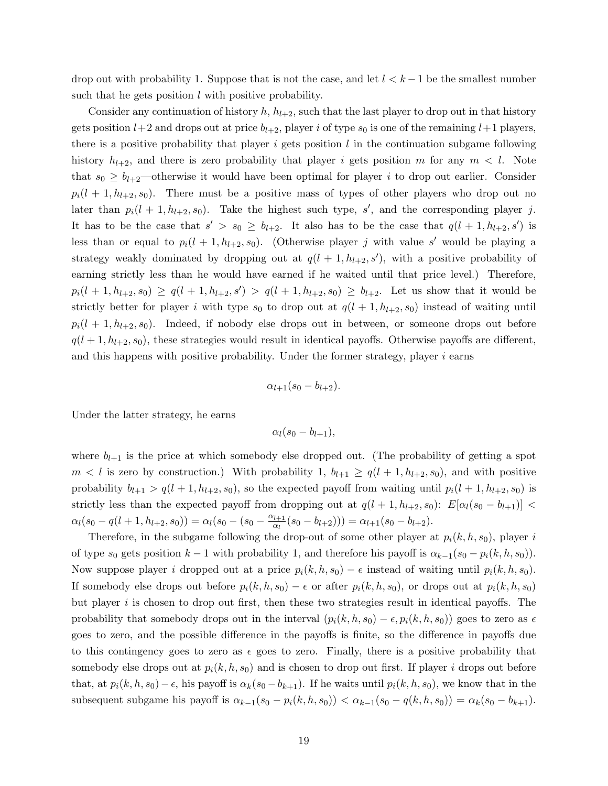drop out with probability 1. Suppose that is not the case, and let  $l < k-1$  be the smallest number such that he gets position  $l$  with positive probability.

Consider any continuation of history  $h, h_{l+2}$ , such that the last player to drop out in that history gets position  $l+2$  and drops out at price  $b_{l+2}$ , player i of type  $s_0$  is one of the remaining  $l+1$  players, there is a positive probability that player i gets position  $l$  in the continuation subgame following history  $h_{l+2}$ , and there is zero probability that player i gets position m for any  $m < l$ . Note that  $s_0 \geq b_{l+2}$ —otherwise it would have been optimal for player i to drop out earlier. Consider  $p_i(l + 1, h_{l+2}, s_0)$ . There must be a positive mass of types of other players who drop out no later than  $p_i(l + 1, h_{l+2}, s_0)$ . Take the highest such type, s', and the corresponding player j. It has to be the case that  $s' > s_0 \ge b_{l+2}$ . It also has to be the case that  $q(l+1, h_{l+2}, s')$  is less than or equal to  $p_i(l + 1, h_{l+2}, s_0)$ . (Otherwise player j with value s' would be playing a strategy weakly dominated by dropping out at  $q(l + 1, h_{l+2}, s')$ , with a positive probability of earning strictly less than he would have earned if he waited until that price level.) Therefore,  $p_i(l+1,h_{l+2},s_0) \ge q(l+1,h_{l+2},s') > q(l+1,h_{l+2},s_0) \ge b_{l+2}$ . Let us show that it would be strictly better for player i with type  $s_0$  to drop out at  $q(l + 1, h_{l+2}, s_0)$  instead of waiting until  $p_i(l + 1, h_{l+2}, s_0)$ . Indeed, if nobody else drops out in between, or someone drops out before  $q(l+1, h_{l+2}, s_0)$ , these strategies would result in identical payoffs. Otherwise payoffs are different, and this happens with positive probability. Under the former strategy, player  $i$  earns

$$
\alpha_{l+1}(s_0-b_{l+2}).
$$

Under the latter strategy, he earns

$$
\alpha_l(s_0-b_{l+1}),
$$

where  $b_{l+1}$  is the price at which somebody else dropped out. (The probability of getting a spot  $m < l$  is zero by construction.) With probability 1,  $b_{l+1} \ge q(l+1, h_{l+2}, s_0)$ , and with positive probability  $b_{l+1} > q(l+1, h_{l+2}, s_0)$ , so the expected payoff from waiting until  $p_i(l+1, h_{l+2}, s_0)$  is strictly less than the expected payoff from dropping out at  $q(l + 1, h_{l+2}, s_0)$ :  $E[\alpha_l(s_0 - b_{l+1})]$  <  $\alpha_l(s_0 - q(l+1, h_{l+2}, s_0)) = \alpha_l(s_0 - (s_0 - \frac{\alpha_{l+1}}{\alpha_l}))$  $\alpha_l^{\frac{l_{l+1}}{\alpha_l}}(s_0-b_{l+2}))) = \alpha_{l+1}(s_0-b_{l+2}).$ 

Therefore, in the subgame following the drop-out of some other player at  $p_i(k, h, s_0)$ , player i of type  $s_0$  gets position  $k-1$  with probability 1, and therefore his payoff is  $\alpha_{k-1}(s_0 - p_i(k, h, s_0))$ . Now suppose player i dropped out at a price  $p_i(k, h, s_0) - \epsilon$  instead of waiting until  $p_i(k, h, s_0)$ . If somebody else drops out before  $p_i(k, h, s_0) - \epsilon$  or after  $p_i(k, h, s_0)$ , or drops out at  $p_i(k, h, s_0)$ but player i is chosen to drop out first, then these two strategies result in identical payoffs. The probability that somebody drops out in the interval  $(p_i(k, h, s_0) - \epsilon, p_i(k, h, s_0))$  goes to zero as  $\epsilon$ goes to zero, and the possible difference in the payoffs is finite, so the difference in payoffs due to this contingency goes to zero as  $\epsilon$  goes to zero. Finally, there is a positive probability that somebody else drops out at  $p_i(k, h, s_0)$  and is chosen to drop out first. If player i drops out before that, at  $p_i(k, h, s_0) - \epsilon$ , his payoff is  $\alpha_k(s_0 - b_{k+1})$ . If he waits until  $p_i(k, h, s_0)$ , we know that in the subsequent subgame his payoff is  $\alpha_{k-1}(s_0 - p_i(k, h, s_0)) < \alpha_{k-1}(s_0 - q(k, h, s_0)) = \alpha_k(s_0 - b_{k+1}).$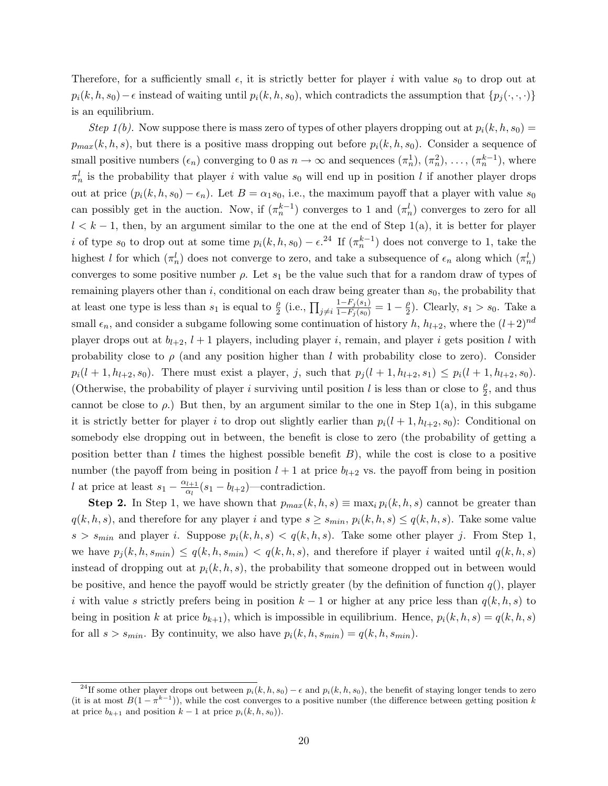Therefore, for a sufficiently small  $\epsilon$ , it is strictly better for player i with value  $s_0$  to drop out at  $p_i(k, h, s_0) - \epsilon$  instead of waiting until  $p_i(k, h, s_0)$ , which contradicts the assumption that  $\{p_j(\cdot, \cdot, \cdot)\}$ is an equilibrium.

Step  $1(b)$ . Now suppose there is mass zero of types of other players dropping out at  $p_i(k, h, s_0) =$  $p_{max}(k, h, s)$ , but there is a positive mass dropping out before  $p_i(k, h, s_0)$ . Consider a sequence of small positive numbers  $(\epsilon_n)$  converging to 0 as  $n \to \infty$  and sequences  $(\pi_n^1), (\pi_n^2), \ldots, (\pi_n^{k-1}),$  where  $\pi_n^l$  is the probability that player i with value  $s_0$  will end up in position l if another player drops out at price  $(p_i(k, h, s_0) - \epsilon_n)$ . Let  $B = \alpha_1 s_0$ , i.e., the maximum payoff that a player with value  $s_0$ can possibly get in the auction. Now, if  $(\pi_n^{k-1})$  converges to 1 and  $(\pi_n^l)$  converges to zero for all  $l < k-1$ , then, by an argument similar to the one at the end of Step 1(a), it is better for player i of type  $s_0$  to drop out at some time  $p_i(k, h, s_0) - \epsilon^{24}$  If  $(\pi_n^{k-1})$  does not converge to 1, take the highest l for which  $(\pi_n^l)$  does not converge to zero, and take a subsequence of  $\epsilon_n$  along which  $(\pi_n^l)$ converges to some positive number  $\rho$ . Let  $s_1$  be the value such that for a random draw of types of remaining players other than i, conditional on each draw being greater than  $s<sub>0</sub>$ , the probability that at least one type is less than  $s_1$  is equal to  $\frac{\rho}{2}$  (i.e.,  $\prod_{j\neq i}$  $\frac{1-F_j(s_1)}{1-F_j(s_0)}=1-\frac{\rho}{2}$  $\frac{\rho}{2}$ ). Clearly,  $s_1 > s_0$ . Take a small  $\epsilon_n$ , and consider a subgame following some continuation of history h,  $h_{l+2}$ , where the  $(l+2)^{nd}$ player drops out at  $b_{l+2}$ ,  $l+1$  players, including player i, remain, and player i gets position l with probability close to  $\rho$  (and any position higher than l with probability close to zero). Consider  $p_i(l+1, h_{l+2}, s_0)$ . There must exist a player, j, such that  $p_i(l+1, h_{l+2}, s_1) \leq p_i(l+1, h_{l+2}, s_0)$ . (Otherwise, the probability of player i surviving until position l is less than or close to  $\frac{\rho}{2}$ , and thus cannot be close to  $\rho$ .) But then, by an argument similar to the one in Step 1(a), in this subgame it is strictly better for player i to drop out slightly earlier than  $p_i(l + 1, h_{l+2}, s_0)$ : Conditional on somebody else dropping out in between, the benefit is close to zero (the probability of getting a position better than l times the highest possible benefit  $B$ ), while the cost is close to a positive number (the payoff from being in position  $l + 1$  at price  $b_{l+2}$  vs. the payoff from being in position l at price at least  $s_1 - \frac{\alpha_{l+1}}{\alpha_l}$  $\frac{a_{l+1}}{a_l}(s_1 - b_{l+2})$ —contradiction.

Step 2. In Step 1, we have shown that  $p_{max}(k, h, s) \equiv \max_i p_i(k, h, s)$  cannot be greater than  $q(k, h, s)$ , and therefore for any player i and type  $s \geq s_{min}$ ,  $p_i(k, h, s) \leq q(k, h, s)$ . Take some value  $s > s_{min}$  and player i. Suppose  $p_i(k, h, s) < q(k, h, s)$ . Take some other player j. From Step 1, we have  $p_i(k, h, s_{min}) \le q(k, h, s_{min}) < q(k, h, s)$ , and therefore if player i waited until  $q(k, h, s)$ instead of dropping out at  $p_i(k, h, s)$ , the probability that someone dropped out in between would be positive, and hence the payoff would be strictly greater (by the definition of function  $q()$ , player i with value s strictly prefers being in position  $k - 1$  or higher at any price less than  $q(k, h, s)$  to being in position k at price  $b_{k+1}$ , which is impossible in equilibrium. Hence,  $p_i(k, h, s) = q(k, h, s)$ for all  $s > s_{min}$ . By continuity, we also have  $p_i(k, h, s_{min}) = q(k, h, s_{min})$ .

<sup>&</sup>lt;sup>24</sup>If some other player drops out between  $p_i(k, h, s_0) - \epsilon$  and  $p_i(k, h, s_0)$ , the benefit of staying longer tends to zero (it is at most  $B(1 - \pi^{k-1})$ ), while the cost converges to a positive number (the difference between getting position k at price  $b_{k+1}$  and position  $k-1$  at price  $p_i(k, h, s_0)$ ).